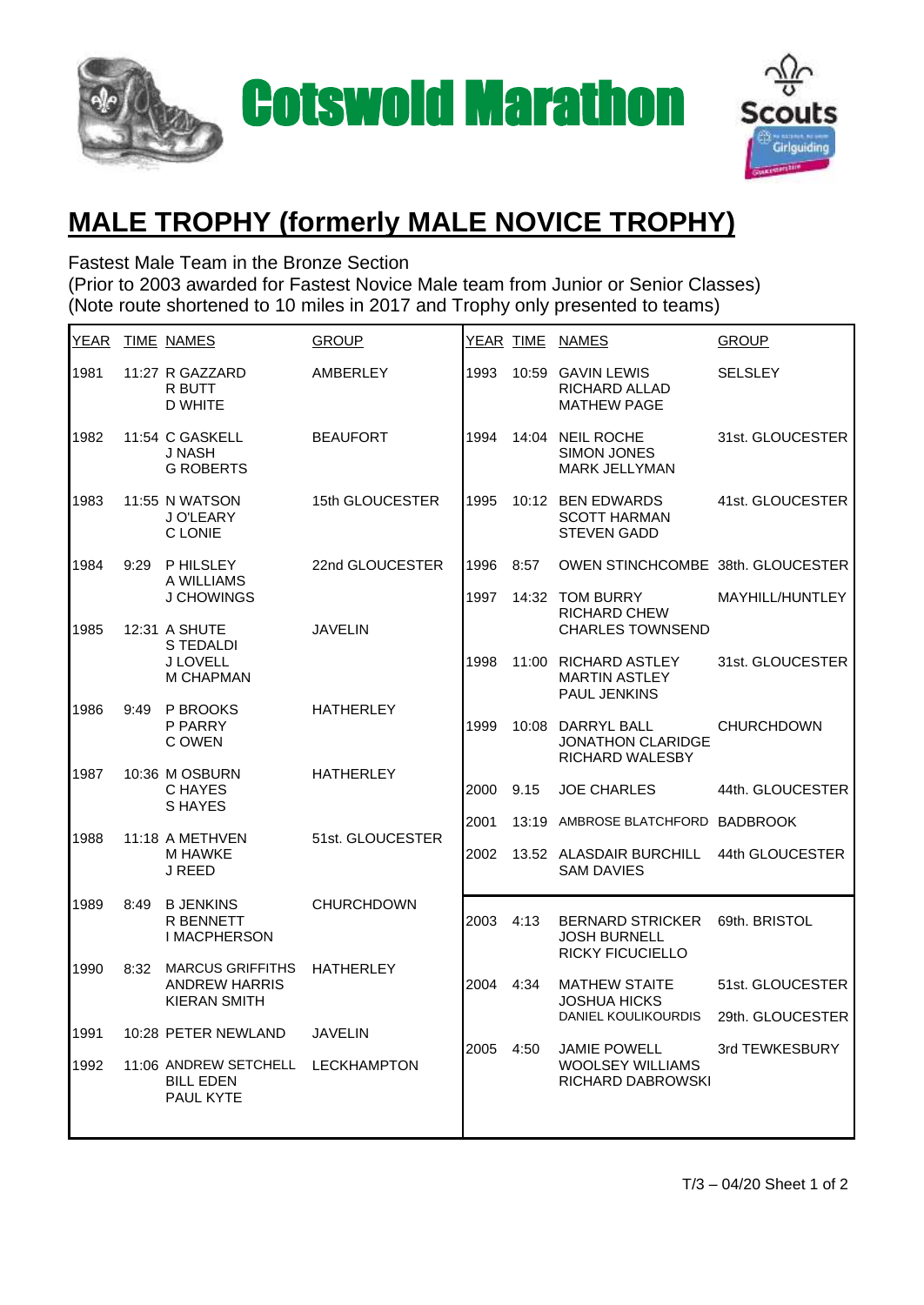



## **MALE TROPHY (formerly MALE NOVICE TROPHY)**

Fastest Male Team in the Bronze Section

(Prior to 2003 awarded for Fastest Novice Male team from Junior or Senior Classes) (Note route shortened to 10 miles in 2017 and Trophy only presented to teams)

| YEAR |      | <b>TIME NAMES</b>                                                      | <b>GROUP</b>      |      | <u>YEAR TIME</u> | <b>NAMES</b>                                                              | <b>GROUP</b>      |
|------|------|------------------------------------------------------------------------|-------------------|------|------------------|---------------------------------------------------------------------------|-------------------|
| 1981 |      | 11:27 R GAZZARD<br>R BUTT<br><b>D WHITE</b>                            | <b>AMBERLEY</b>   | 1993 | 10:59            | <b>GAVIN LEWIS</b><br>RICHARD ALLAD<br><b>MATHEW PAGE</b>                 | <b>SELSLEY</b>    |
| 1982 |      | 11:54 C GASKELL<br>J NASH<br><b>G ROBERTS</b>                          | <b>BEAUFORT</b>   | 1994 | 14:04            | <b>NEIL ROCHE</b><br><b>SIMON JONES</b><br><b>MARK JELLYMAN</b>           | 31st. GLOUCESTER  |
| 1983 |      | 11:55 N WATSON<br>J O'LEARY<br>C LONIE                                 | 15th GLOUCESTER   | 1995 |                  | 10:12 BEN EDWARDS<br><b>SCOTT HARMAN</b><br><b>STEVEN GADD</b>            | 41st. GLOUCESTER  |
| 1984 | 9:29 | <b>PHILSLEY</b><br>A WILLIAMS                                          | 22nd GLOUCESTER   | 1996 | 8:57             | OWEN STINCHCOMBE 38th. GLOUCESTER                                         |                   |
| 1985 |      | J CHOWINGS<br>12:31 A SHUTE                                            | <b>JAVELIN</b>    | 1997 |                  | 14:32 TOM BURRY<br><b>RICHARD CHEW</b><br><b>CHARLES TOWNSEND</b>         | MAYHILL/HUNTLEY   |
|      |      | S TEDALDI<br>J LOVELL<br><b>M CHAPMAN</b>                              |                   | 1998 | 11:00            | <b>RICHARD ASTLEY</b><br><b>MARTIN ASTLEY</b><br>PAUL JENKINS             | 31st. GLOUCESTER  |
| 1986 | 9:49 | P BROOKS<br>P PARRY<br>C OWEN                                          | <b>HATHERLEY</b>  | 1999 | 10:08            | DARRYL BALL<br><b>JONATHON CLARIDGE</b><br>RICHARD WALESBY                | <b>CHURCHDOWN</b> |
| 1987 |      | 10:36 M OSBURN<br>C HAYES<br><b>SHAYES</b>                             | <b>HATHERLEY</b>  | 2000 | 9.15             | <b>JOE CHARLES</b>                                                        | 44th. GLOUCESTER  |
| 1988 |      | 11:18 A METHVEN                                                        | 51st. GLOUCESTER  | 2001 | 13:19            | AMBROSE BLATCHFORD                                                        | <b>BADBROOK</b>   |
|      |      | M HAWKE<br>J REED                                                      |                   | 2002 |                  | 13.52 ALASDAIR BURCHILL<br><b>SAM DAVIES</b>                              | 44th GLOUCESTER   |
| 1989 | 8:49 | <b>B JENKINS</b><br><b>R BENNETT</b><br>I MACPHERSON                   | <b>CHURCHDOWN</b> | 2003 | 4:13             | <b>BERNARD STRICKER</b><br><b>JOSH BURNELL</b><br><b>RICKY FICUCIELLO</b> | 69th. BRISTOL     |
| 1990 | 8:32 | <b>MARCUS GRIFFITHS</b><br><b>ANDREW HARRIS</b><br><b>KIERAN SMITH</b> | <b>HATHERLEY</b>  | 2004 | 4:34             | <b>MATHEW STAITE</b><br><b>JOSHUA HICKS</b>                               | 51st. GLOUCESTER  |
| 1991 |      | 10:28 PETER NEWLAND                                                    | <b>JAVELIN</b>    |      |                  | DANIEL KOULIKOURDIS                                                       | 29th. GLOUCESTER  |
| 1992 |      | 11:06 ANDREW SETCHELL LECKHAMPTON<br><b>BILL EDEN</b><br>PAUL KYTE     |                   | 2005 | 4:50             | <b>JAMIE POWELL</b><br><b>WOOLSEY WILLIAMS</b><br>RICHARD DABROWSKI       | 3rd TEWKESBURY    |
|      |      |                                                                        |                   |      |                  |                                                                           |                   |